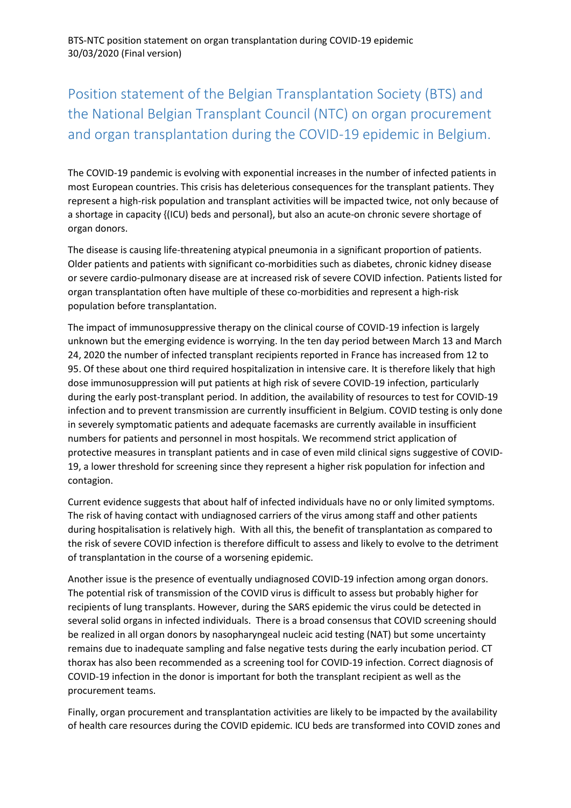# Position statement of the Belgian Transplantation Society (BTS) and the National Belgian Transplant Council (NTC) on organ procurement and organ transplantation during the COVID-19 epidemic in Belgium.

The COVID-19 pandemic is evolving with exponential increases in the number of infected patients in most European countries. This crisis has deleterious consequences for the transplant patients. They represent a high-risk population and transplant activities will be impacted twice, not only because of a shortage in capacity {(ICU) beds and personal}, but also an acute-on chronic severe shortage of organ donors.

The disease is causing life-threatening atypical pneumonia in a significant proportion of patients. Older patients and patients with significant co-morbidities such as diabetes, chronic kidney disease or severe cardio-pulmonary disease are at increased risk of severe COVID infection. Patients listed for organ transplantation often have multiple of these co-morbidities and represent a high-risk population before transplantation.

The impact of immunosuppressive therapy on the clinical course of COVID-19 infection is largely unknown but the emerging evidence is worrying. In the ten day period between March 13 and March 24, 2020 the number of infected transplant recipients reported in France has increased from 12 to 95. Of these about one third required hospitalization in intensive care. It is therefore likely that high dose immunosuppression will put patients at high risk of severe COVID-19 infection, particularly during the early post-transplant period. In addition, the availability of resources to test for COVID-19 infection and to prevent transmission are currently insufficient in Belgium. COVID testing is only done in severely symptomatic patients and adequate facemasks are currently available in insufficient numbers for patients and personnel in most hospitals. We recommend strict application of protective measures in transplant patients and in case of even mild clinical signs suggestive of COVID-19, a lower threshold for screening since they represent a higher risk population for infection and contagion.

Current evidence suggests that about half of infected individuals have no or only limited symptoms. The risk of having contact with undiagnosed carriers of the virus among staff and other patients during hospitalisation is relatively high. With all this, the benefit of transplantation as compared to the risk of severe COVID infection is therefore difficult to assess and likely to evolve to the detriment of transplantation in the course of a worsening epidemic.

Another issue is the presence of eventually undiagnosed COVID-19 infection among organ donors. The potential risk of transmission of the COVID virus is difficult to assess but probably higher for recipients of lung transplants. However, during the SARS epidemic the virus could be detected in several solid organs in infected individuals. There is a broad consensus that COVID screening should be realized in all organ donors by nasopharyngeal nucleic acid testing (NAT) but some uncertainty remains due to inadequate sampling and false negative tests during the early incubation period. CT thorax has also been recommended as a screening tool for COVID-19 infection. Correct diagnosis of COVID-19 infection in the donor is important for both the transplant recipient as well as the procurement teams.

Finally, organ procurement and transplantation activities are likely to be impacted by the availability of health care resources during the COVID epidemic. ICU beds are transformed into COVID zones and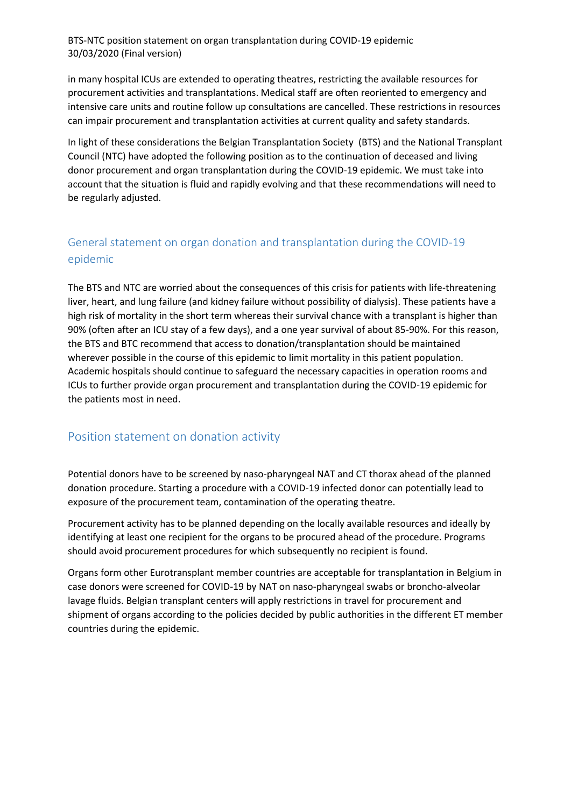BTS-NTC position statement on organ transplantation during COVID-19 epidemic 30/03/2020 (Final version)

in many hospital ICUs are extended to operating theatres, restricting the available resources for procurement activities and transplantations. Medical staff are often reoriented to emergency and intensive care units and routine follow up consultations are cancelled. These restrictions in resources can impair procurement and transplantation activities at current quality and safety standards.

In light of these considerations the Belgian Transplantation Society (BTS) and the National Transplant Council (NTC) have adopted the following position as to the continuation of deceased and living donor procurement and organ transplantation during the COVID-19 epidemic. We must take into account that the situation is fluid and rapidly evolving and that these recommendations will need to be regularly adjusted.

## General statement on organ donation and transplantation during the COVID-19 epidemic

The BTS and NTC are worried about the consequences of this crisis for patients with life-threatening liver, heart, and lung failure (and kidney failure without possibility of dialysis). These patients have a high risk of mortality in the short term whereas their survival chance with a transplant is higher than 90% (often after an ICU stay of a few days), and a one year survival of about 85-90%. For this reason, the BTS and BTC recommend that access to donation/transplantation should be maintained wherever possible in the course of this epidemic to limit mortality in this patient population. Academic hospitals should continue to safeguard the necessary capacities in operation rooms and ICUs to further provide organ procurement and transplantation during the COVID-19 epidemic for the patients most in need.

#### Position statement on donation activity

Potential donors have to be screened by naso-pharyngeal NAT and CT thorax ahead of the planned donation procedure. Starting a procedure with a COVID-19 infected donor can potentially lead to exposure of the procurement team, contamination of the operating theatre.

Procurement activity has to be planned depending on the locally available resources and ideally by identifying at least one recipient for the organs to be procured ahead of the procedure. Programs should avoid procurement procedures for which subsequently no recipient is found.

Organs form other Eurotransplant member countries are acceptable for transplantation in Belgium in case donors were screened for COVID-19 by NAT on naso-pharyngeal swabs or broncho-alveolar lavage fluids. Belgian transplant centers will apply restrictions in travel for procurement and shipment of organs according to the policies decided by public authorities in the different ET member countries during the epidemic.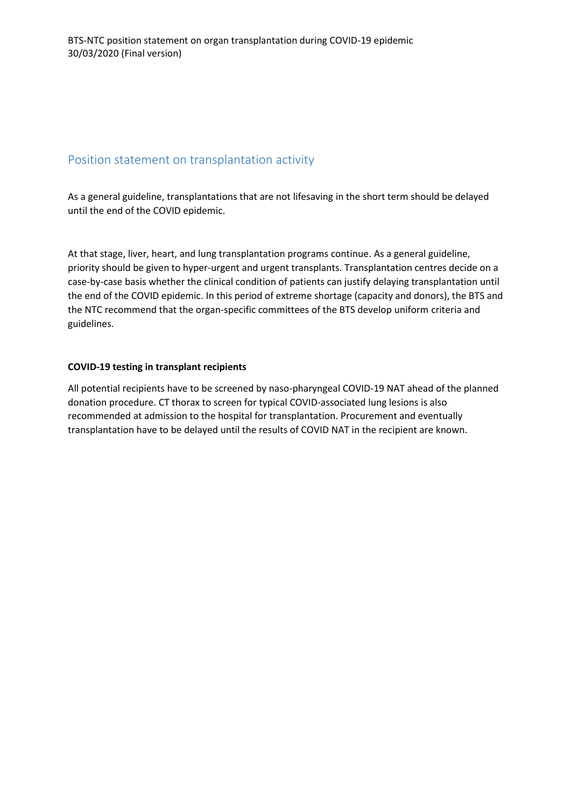### Position statement on transplantation activity

As a general guideline, transplantations that are not lifesaving in the short term should be delayed until the end of the COVID epidemic.

At that stage, liver, heart, and lung transplantation programs continue. As a general guideline, priority should be given to hyper-urgent and urgent transplants. Transplantation centres decide on a case-by-case basis whether the clinical condition of patients can justify delaying transplantation until the end of the COVID epidemic. In this period of extreme shortage (capacity and donors), the BTS and the NTC recommend that the organ-specific committees of the BTS develop uniform criteria and guidelines.

#### **COVID-19 testing in transplant recipients**

All potential recipients have to be screened by naso-pharyngeal COVID-19 NAT ahead of the planned donation procedure. CT thorax to screen for typical COVID-associated lung lesions is also recommended at admission to the hospital for transplantation. Procurement and eventually transplantation have to be delayed until the results of COVID NAT in the recipient are known.